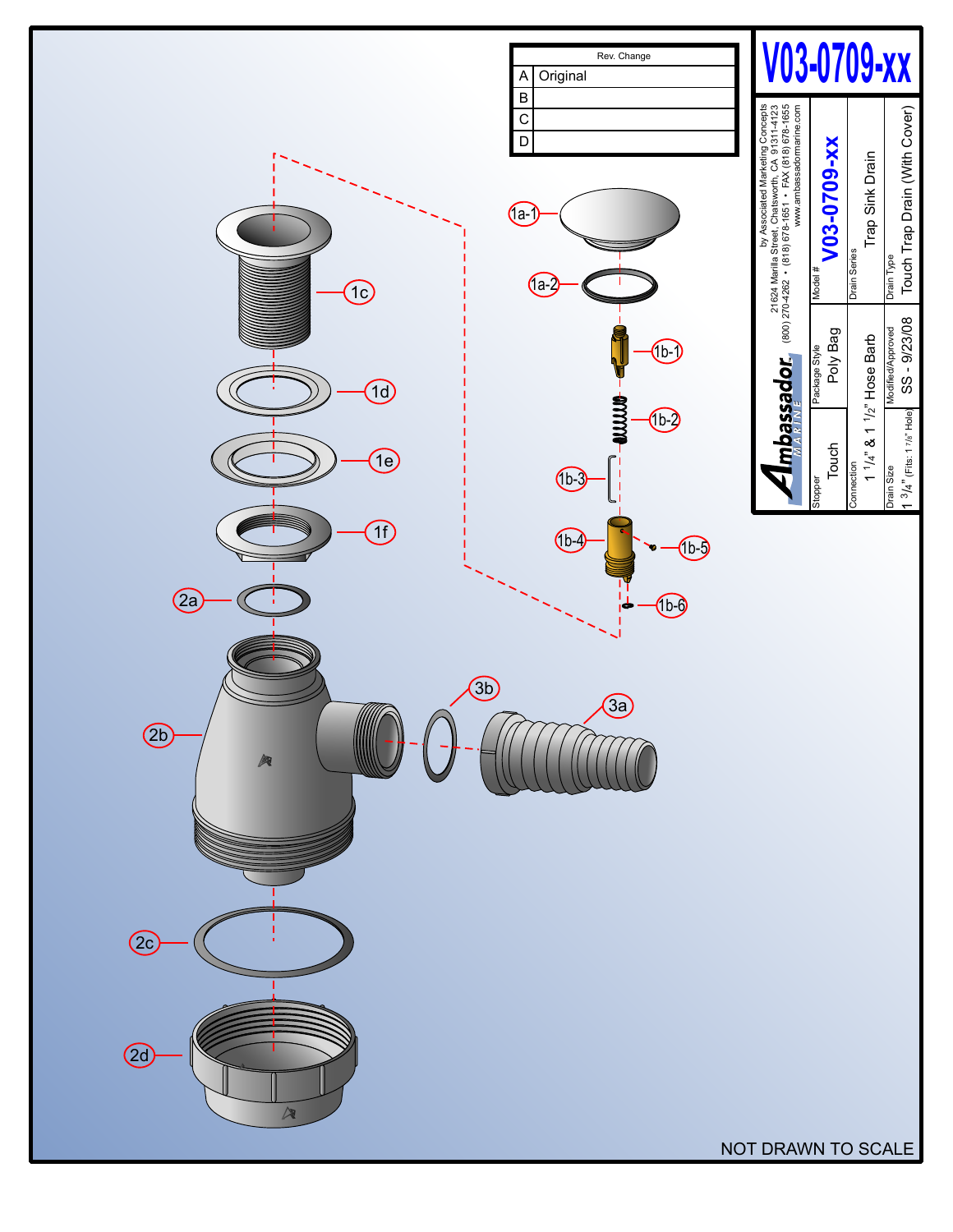